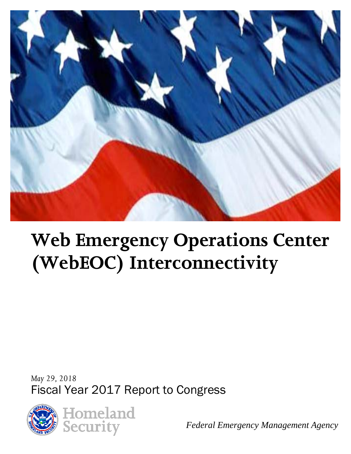

# **Web Emergency Operations Center (WebEOC) Interconnectivity**

*May 29, 2018* Fiscal Year 2017 Report to Congress



*Federal Emergency Management Agency*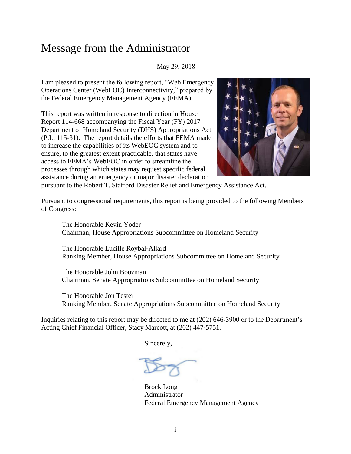#### Message from the Administrator

#### May 29, 2018

I am pleased to present the following report, "Web Emergency Operations Center (WebEOC) Interconnectivity," prepared by the Federal Emergency Management Agency (FEMA).

This report was written in response to direction in House Report 114-668 accompanying the Fiscal Year (FY) 2017 Department of Homeland Security (DHS) Appropriations Act (P.L. 115-31). The report details the efforts that FEMA made to increase the capabilities of its WebEOC system and to ensure, to the greatest extent practicable, that states have access to FEMA's WebEOC in order to streamline the processes through which states may request specific federal assistance during an emergency or major disaster declaration



pursuant to the Robert T. Stafford Disaster Relief and Emergency Assistance Act.

Pursuant to congressional requirements, this report is being provided to the following Members of Congress:

The Honorable Kevin Yoder Chairman, House Appropriations Subcommittee on Homeland Security

The Honorable Lucille Roybal-Allard Ranking Member, House Appropriations Subcommittee on Homeland Security

The Honorable John Boozman Chairman, Senate Appropriations Subcommittee on Homeland Security

The Honorable Jon Tester Ranking Member, Senate Appropriations Subcommittee on Homeland Security

Inquiries relating to this report may be directed to me at (202) 646-3900 or to the Department's Acting Chief Financial Officer, Stacy Marcott, at (202) 447-5751.

Sincerely,

Brock Long Administrator Federal Emergency Management Agency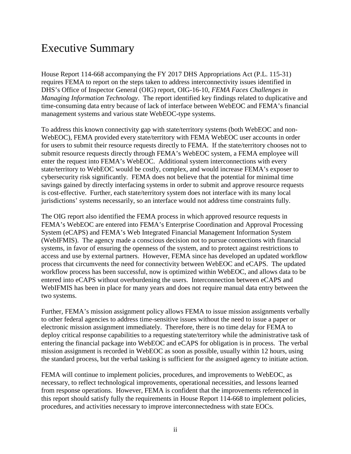#### Executive Summary

House Report 114-668 accompanying the FY 2017 DHS Appropriations Act (P.L. 115-31) requires FEMA to report on the steps taken to address interconnectivity issues identified in DHS's Office of Inspector General (OIG) report, OIG-16-10, *FEMA Faces Challenges in Managing Information Technology*. The report identified key findings related to duplicative and time-consuming data entry because of lack of interface between WebEOC and FEMA's financial management systems and various state WebEOC-type systems.

To address this known connectivity gap with state/territory systems (both WebEOC and non-WebEOC), FEMA provided every state/territory with FEMA WebEOC user accounts in order for users to submit their resource requests directly to FEMA. If the state/territory chooses not to submit resource requests directly through FEMA's WebEOC system, a FEMA employee will enter the request into FEMA's WebEOC. Additional system interconnections with every state/territory to WebEOC would be costly, complex, and would increase FEMA's exposer to cybersecurity risk significantly. FEMA does not believe that the potential for minimal time savings gained by directly interfacing systems in order to submit and approve resource requests is cost-effective. Further, each state/territory system does not interface with its many local jurisdictions' systems necessarily, so an interface would not address time constraints fully.

The OIG report also identified the FEMA process in which approved resource requests in FEMA's WebEOC are entered into FEMA's Enterprise Coordination and Approval Processing System (eCAPS) and FEMA's Web Integrated Financial Management Information System (WebIFMIS). The agency made a conscious decision not to pursue connections with financial systems, in favor of ensuring the openness of the system, and to protect against restrictions to access and use by external partners. However, FEMA since has developed an updated workflow process that circumvents the need for connectivity between WebEOC and eCAPS. The updated workflow process has been successful, now is optimized within WebEOC, and allows data to be entered into eCAPS without overburdening the users. Interconnection between eCAPS and WebIFMIS has been in place for many years and does not require manual data entry between the two systems.

Further, FEMA's mission assignment policy allows FEMA to issue mission assignments verbally to other federal agencies to address time-sensitive issues without the need to issue a paper or electronic mission assignment immediately. Therefore, there is no time delay for FEMA to deploy critical response capabilities to a requesting state/territory while the administrative task of entering the financial package into WebEOC and eCAPS for obligation is in process. The verbal mission assignment is recorded in WebEOC as soon as possible, usually within 12 hours, using the standard process, but the verbal tasking is sufficient for the assigned agency to initiate action.

FEMA will continue to implement policies, procedures, and improvements to WebEOC, as necessary, to reflect technological improvements, operational necessities, and lessons learned from response operations. However, FEMA is confident that the improvements referenced in this report should satisfy fully the requirements in House Report 114-668 to implement policies, procedures, and activities necessary to improve interconnectedness with state EOCs.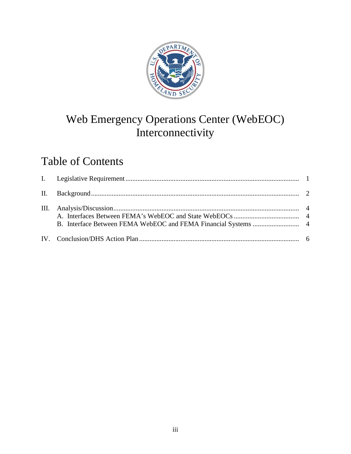

# Web Emergency Operations Center (WebEOC) Interconnectivity

# Table of Contents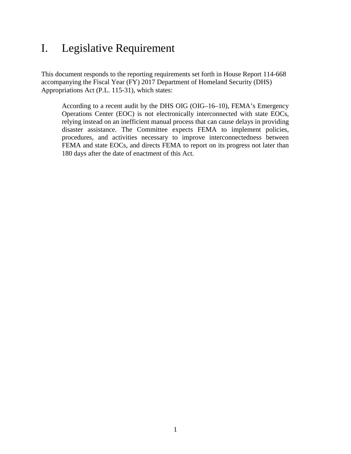#### <span id="page-4-0"></span>I. Legislative Requirement

This document responds to the reporting requirements set forth in House Report 114-668 accompanying the Fiscal Year (FY) 2017 Department of Homeland Security (DHS) Appropriations Act (P.L. 115-31), which states:

According to a recent audit by the DHS OIG (OIG–16–10), FEMA's Emergency Operations Center (EOC) is not electronically interconnected with state EOCs, relying instead on an inefficient manual process that can cause delays in providing disaster assistance. The Committee expects FEMA to implement policies, procedures, and activities necessary to improve interconnectedness between FEMA and state EOCs, and directs FEMA to report on its progress not later than 180 days after the date of enactment of this Act.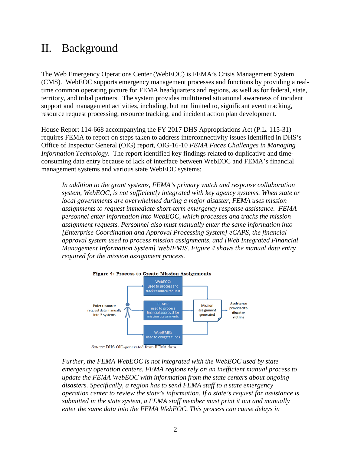#### <span id="page-5-0"></span>II. Background

The Web Emergency Operations Center (WebEOC) is FEMA's Crisis Management System (CMS). WebEOC supports emergency management processes and functions by providing a realtime common operating picture for FEMA headquarters and regions, as well as for federal, state, territory, and tribal partners. The system provides multitiered situational awareness of incident support and management activities, including, but not limited to, significant event tracking, resource request processing, resource tracking, and incident action plan development.

House Report 114-668 accompanying the FY 2017 DHS Appropriations Act (P.L. 115-31) requires FEMA to report on steps taken to address interconnectivity issues identified in DHS's Office of Inspector General (OIG) report, OIG-16-10 *FEMA Faces Challenges in Managing Information Technology*. The report identified key findings related to duplicative and timeconsuming data entry because of lack of interface between WebEOC and FEMA's financial management systems and various state WebEOC systems:

*In addition to the grant systems, FEMA's primary watch and response collaboration system, WebEOC, is not sufficiently integrated with key agency systems. When state or local governments are overwhelmed during a major disaster, FEMA uses mission assignments to request immediate short-term emergency response assistance. FEMA personnel enter information into WebEOC, which processes and tracks the mission assignment requests. Personnel also must manually enter the same information into [Enterprise Coordination and Approval Processing System] eCAPS, the financial approval system used to process mission assignments, and [Web Integrated Financial Management Information System] WebIFMIS. Figure 4 shows the manual data entry required for the mission assignment process.* 



Source: DHS OIG-generated from FEMA data.

*Further, the FEMA WebEOC is not integrated with the WebEOC used by state emergency operation centers. FEMA regions rely on an inefficient manual process to update the FEMA WebEOC with information from the state centers about ongoing disasters. Specifically, a region has to send FEMA staff to a state emergency operation center to review the state's information. If a state's request for assistance is submitted in the state system, a FEMA staff member must print it out and manually enter the same data into the FEMA WebEOC. This process can cause delays in*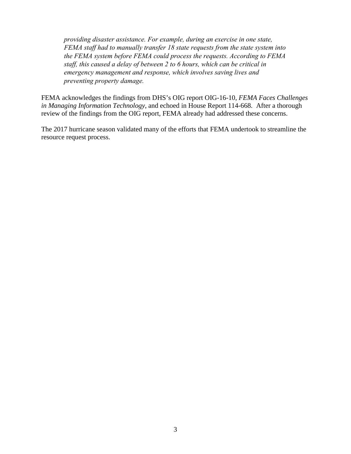*providing disaster assistance. For example, during an exercise in one state, FEMA staff had to manually transfer 18 state requests from the state system into the FEMA system before FEMA could process the requests. According to FEMA staff, this caused a delay of between 2 to 6 hours, which can be critical in emergency management and response, which involves saving lives and preventing property damage.*

FEMA acknowledges the findings from DHS's OIG report OIG-16-10, *FEMA Faces Challenges in Managing Information Technology*, and echoed in House Report 114-668*.* After a thorough review of the findings from the OIG report, FEMA already had addressed these concerns.

The 2017 hurricane season validated many of the efforts that FEMA undertook to streamline the resource request process.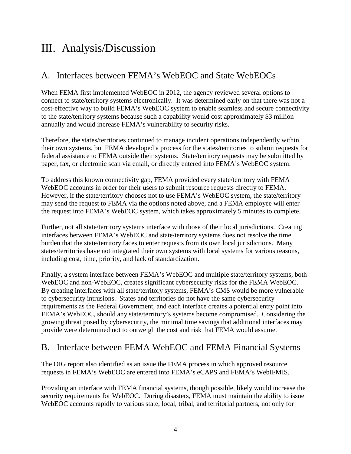## <span id="page-7-0"></span>III. Analysis/Discussion

#### <span id="page-7-1"></span>A. Interfaces between FEMA's WebEOC and State WebEOCs

When FEMA first implemented WebEOC in 2012, the agency reviewed several options to connect to state/territory systems electronically. It was determined early on that there was not a cost-effective way to build FEMA's WebEOC system to enable seamless and secure connectivity to the state/territory systems because such a capability would cost approximately \$3 million annually and would increase FEMA's vulnerability to security risks.

Therefore, the states/territories continued to manage incident operations independently within their own systems, but FEMA developed a process for the states/territories to submit requests for federal assistance to FEMA outside their systems. State/territory requests may be submitted by paper, fax, or electronic scan via email, or directly entered into FEMA's WebEOC system.

To address this known connectivity gap, FEMA provided every state/territory with FEMA WebEOC accounts in order for their users to submit resource requests directly to FEMA. However, if the state/territory chooses not to use FEMA's WebEOC system, the state/territory may send the request to FEMA via the options noted above, and a FEMA employee will enter the request into FEMA's WebEOC system, which takes approximately 5 minutes to complete.

Further, not all state/territory systems interface with those of their local jurisdictions. Creating interfaces between FEMA's WebEOC and state/territory systems does not resolve the time burden that the state/territory faces to enter requests from its own local jurisdictions. Many states/territories have not integrated their own systems with local systems for various reasons, including cost, time, priority, and lack of standardization.

Finally, a system interface between FEMA's WebEOC and multiple state/territory systems, both WebEOC and non-WebEOC, creates significant cybersecurity risks for the FEMA WebEOC. By creating interfaces with all state/territory systems, FEMA's CMS would be more vulnerable to cybersecurity intrusions. States and territories do not have the same cybersecurity requirements as the Federal Government, and each interface creates a potential entry point into FEMA's WebEOC, should any state/territory's systems become compromised. Considering the growing threat posed by cybersecurity, the minimal time savings that additional interfaces may provide were determined not to outweigh the cost and risk that FEMA would assume.

#### <span id="page-7-2"></span>B. Interface between FEMA WebEOC and FEMA Financial Systems

The OIG report also identified as an issue the FEMA process in which approved resource requests in FEMA's WebEOC are entered into FEMA's eCAPS and FEMA's WebIFMIS.

Providing an interface with FEMA financial systems, though possible, likely would increase the security requirements for WebEOC. During disasters, FEMA must maintain the ability to issue WebEOC accounts rapidly to various state, local, tribal, and territorial partners, not only for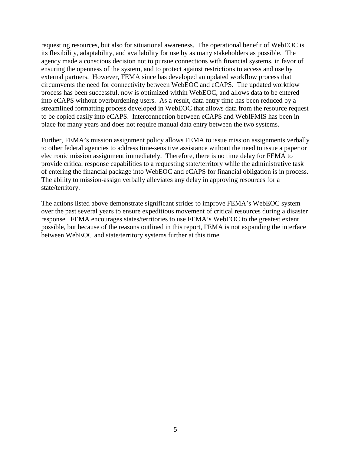requesting resources, but also for situational awareness. The operational benefit of WebEOC is its flexibility, adaptability, and availability for use by as many stakeholders as possible. The agency made a conscious decision not to pursue connections with financial systems, in favor of ensuring the openness of the system, and to protect against restrictions to access and use by external partners. However, FEMA since has developed an updated workflow process that circumvents the need for connectivity between WebEOC and eCAPS. The updated workflow process has been successful, now is optimized within WebEOC, and allows data to be entered into eCAPS without overburdening users. As a result, data entry time has been reduced by a streamlined formatting process developed in WebEOC that allows data from the resource request to be copied easily into eCAPS. Interconnection between eCAPS and WebIFMIS has been in place for many years and does not require manual data entry between the two systems.

Further, FEMA's mission assignment policy allows FEMA to issue mission assignments verbally to other federal agencies to address time-sensitive assistance without the need to issue a paper or electronic mission assignment immediately. Therefore, there is no time delay for FEMA to provide critical response capabilities to a requesting state/territory while the administrative task of entering the financial package into WebEOC and eCAPS for financial obligation is in process. The ability to mission-assign verbally alleviates any delay in approving resources for a state/territory.

The actions listed above demonstrate significant strides to improve FEMA's WebEOC system over the past several years to ensure expeditious movement of critical resources during a disaster response. FEMA encourages states/territories to use FEMA's WebEOC to the greatest extent possible, but because of the reasons outlined in this report, FEMA is not expanding the interface between WebEOC and state/territory systems further at this time.